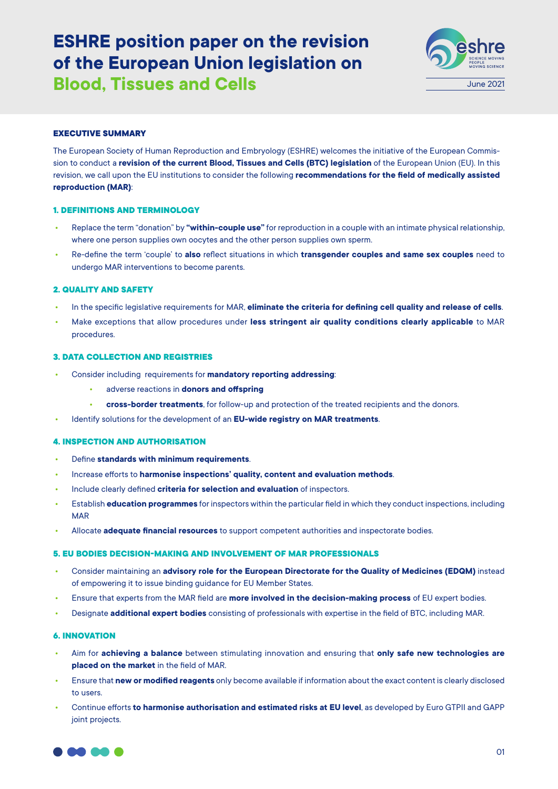# **ESHRE position paper on the revision of the European Union legislation on Blood, Tissues and Cells June 2021**



## **EXECUTIVE SUMMARY**

The European Society of Human Reproduction and Embryology (ESHRE) welcomes the initiative of the European Commission to conduct a **revision of the current Blood, Tissues and Cells (BTC) legislation** of the European Union (EU). In this revision, we call upon the EU institutions to consider the following **recommendations for the field of medically assisted reproduction (MAR)**:

## **1. DEFINITIONS AND TERMINOLOGY**

- **•** Replace the term "donation" by **"within-couple use"** for reproduction in a couple with an intimate physical relationship, where one person supplies own oocytes and the other person supplies own sperm.
- **•** Re-define the term 'couple' to **also** reflect situations in which **transgender couples and same sex couples** need to undergo MAR interventions to become parents.

#### **2. QUALITY AND SAFETY**

- **•** In the specific legislative requirements for MAR, **eliminate the criteria for defining cell quality and release of cells**.
- **•** Make exceptions that allow procedures under **less stringent air quality conditions clearly applicable** to MAR procedures.

## **3. DATA COLLECTION AND REGISTRIES**

- **•** Consider including requirements for **mandatory reporting addressing**:
	- **•** adverse reactions in **donors and offspring**
	- **• cross-border treatments**, for follow-up and protection of the treated recipients and the donors.
- **•** Identify solutions for the development of an **EU-wide registry on MAR treatments**.

#### **4. INSPECTION AND AUTHORISATION**

- **•** Define **standards with minimum requirements**.
- **•** Increase efforts to **harmonise inspections' quality, content and evaluation methods**.
- **•** Include clearly defined **criteria for selection and evaluation** of inspectors.
- **•** Establish **education programmes** for inspectors within the particular field in which they conduct inspections, including MAR
- **•** Allocate **adequate financial resources** to support competent authorities and inspectorate bodies.

## **5. EU BODIES DECISION-MAKING AND INVOLVEMENT OF MAR PROFESSIONALS**

- **•** Consider maintaining an **advisory role for the European Directorate for the Quality of Medicines (EDQM)** instead of empowering it to issue binding guidance for EU Member States.
- **•** Ensure that experts from the MAR field are **more involved in the decision-making process** of EU expert bodies.
- **•** Designate **additional expert bodies** consisting of professionals with expertise in the field of BTC, including MAR.

## **6. INNOVATION**

- **•** Aim for **achieving a balance** between stimulating innovation and ensuring that **only safe new technologies are placed on the market** in the field of MAR.
- **•** Ensure that **new or modified reagents** only become available if information about the exact content is clearly disclosed to users.
- **•** Continue efforts **to harmonise authorisation and estimated risks at EU level**, as developed by Euro GTPII and GAPP joint projects.

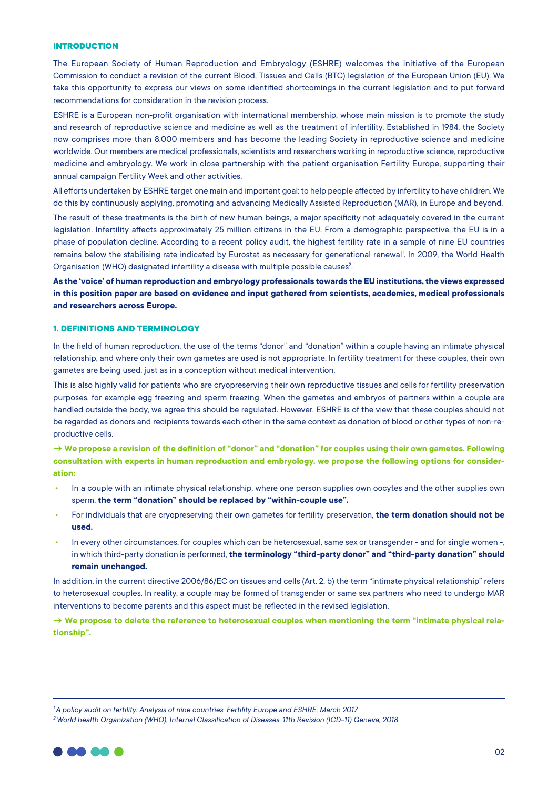## **INTRODUCTION**

The European Society of Human Reproduction and Embryology (ESHRE) welcomes the initiative of the European Commission to conduct a revision of the current Blood, Tissues and Cells (BTC) legislation of the European Union (EU). We take this opportunity to express our views on some identified shortcomings in the current legislation and to put forward recommendations for consideration in the revision process.

ESHRE is a European non-profit organisation with international membership, whose main mission is to promote the study and research of reproductive science and medicine as well as the treatment of infertility. Established in 1984, the Society now comprises more than 8.000 members and has become the leading Society in reproductive science and medicine worldwide. Our members are medical professionals, scientists and researchers working in reproductive science, reproductive medicine and embryology. We work in close partnership with the patient organisation Fertility Europe, supporting their annual campaign Fertility Week and other activities.

All efforts undertaken by ESHRE target one main and important goal: to help people affected by infertility to have children. We do this by continuously applying, promoting and advancing Medically Assisted Reproduction (MAR), in Europe and beyond.

The result of these treatments is the birth of new human beings, a major specificity not adequately covered in the current legislation. Infertility affects approximately 25 million citizens in the EU. From a demographic perspective, the EU is in a phase of population decline. According to a recent policy audit, the highest fertility rate in a sample of nine EU countries remains below the stabilising rate indicated by Eurostat as necessary for generational renewal!. In 2009, the World Health Organisation (WHO) designated infertility a disease with multiple possible causes<sup>2</sup>. .

**As the 'voice' of human reproduction and embryology professionals towards the EU institutions, the views expressed in this position paper are based on evidence and input gathered from scientists, academics, medical professionals and researchers across Europe.**

#### **1. DEFINITIONS AND TERMINOLOGY**

In the field of human reproduction, the use of the terms "donor" and "donation" within a couple having an intimate physical relationship, and where only their own gametes are used is not appropriate. In fertility treatment for these couples, their own gametes are being used, just as in a conception without medical intervention.

This is also highly valid for patients who are cryopreserving their own reproductive tissues and cells for fertility preservation purposes, for example egg freezing and sperm freezing. When the gametes and embryos of partners within a couple are handled outside the body, we agree this should be regulated. However, ESHRE is of the view that these couples should not be regarded as donors and recipients towards each other in the same context as donation of blood or other types of non-reproductive cells.

**→ We propose a revision of the definition of "donor" and "donation" for couples using their own gametes. Following consultation with experts in human reproduction and embryology, we propose the following options for consideration:**

- **•** In a couple with an intimate physical relationship, where one person supplies own oocytes and the other supplies own sperm, **the term "donation" should be replaced by "within-couple use".**
- **•** For individuals that are cryopreserving their own gametes for fertility preservation, **the term donation should not be used.**
- **•** In every other circumstances, for couples which can be heterosexual, same sex or transgender and for single women -, in which third-party donation is performed, **the terminology "third-party donor" and "third-party donation" should remain unchanged.**

In addition, in the current directive 2006/86/EC on tissues and cells (Art. 2, b) the term "intimate physical relationship" refers to heterosexual couples. In reality, a couple may be formed of transgender or same sex partners who need to undergo MAR interventions to become parents and this aspect must be reflected in the revised legislation.

**→ We propose to delete the reference to heterosexual couples when mentioning the term "intimate physical relationship".** 

*<sup>2</sup> World health Organization (WHO), Internal Classification of Diseases, 11th Revision (ICD-11) Geneva, 2018*



*<sup>1</sup> A policy audit on fertility: Analysis of nine countries, Fertility Europe and ESHRE, March 2017*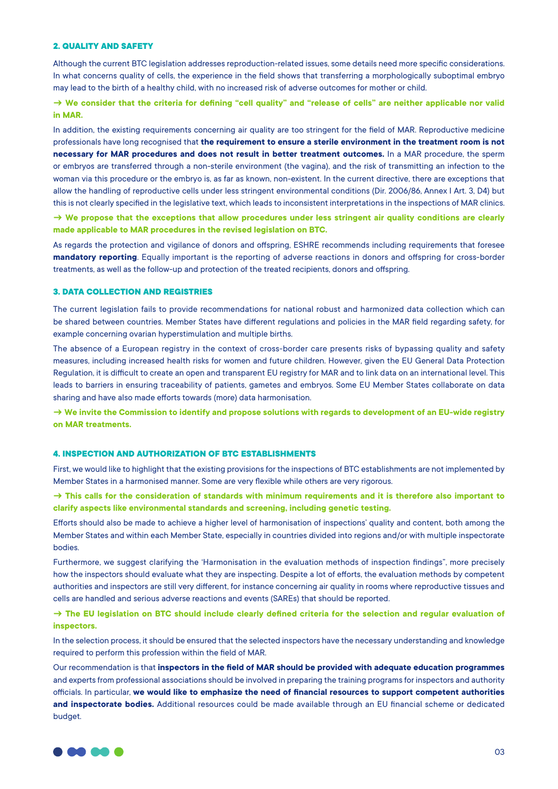## **2. QUALITY AND SAFETY**

Although the current BTC legislation addresses reproduction-related issues, some details need more specific considerations. In what concerns quality of cells, the experience in the field shows that transferring a morphologically suboptimal embryo may lead to the birth of a healthy child, with no increased risk of adverse outcomes for mother or child.

# **→ We consider that the criteria for defining "cell quality" and "release of cells" are neither applicable nor valid in MAR.**

In addition, the existing requirements concerning air quality are too stringent for the field of MAR. Reproductive medicine professionals have long recognised that **the requirement to ensure a sterile environment in the treatment room is not necessary for MAR procedures and does not result in better treatment outcomes.** In a MAR procedure, the sperm or embryos are transferred through a non-sterile environment (the vagina), and the risk of transmitting an infection to the woman via this procedure or the embryo is, as far as known, non-existent. In the current directive, there are exceptions that allow the handling of reproductive cells under less stringent environmental conditions (Dir. 2006/86, Annex I Art. 3, D4) but this is not clearly specified in the legislative text, which leads to inconsistent interpretations in the inspections of MAR clinics.

**→ We propose that the exceptions that allow procedures under less stringent air quality conditions are clearly made applicable to MAR procedures in the revised legislation on BTC.**

As regards the protection and vigilance of donors and offspring, ESHRE recommends including requirements that foresee **mandatory reporting**. Equally important is the reporting of adverse reactions in donors and offspring for cross-border treatments, as well as the follow-up and protection of the treated recipients, donors and offspring.

## **3. DATA COLLECTION AND REGISTRIES**

The current legislation fails to provide recommendations for national robust and harmonized data collection which can be shared between countries. Member States have different regulations and policies in the MAR field regarding safety, for example concerning ovarian hyperstimulation and multiple births.

The absence of a European registry in the context of cross-border care presents risks of bypassing quality and safety measures, including increased health risks for women and future children. However, given the EU General Data Protection Regulation, it is difficult to create an open and transparent EU registry for MAR and to link data on an international level. This leads to barriers in ensuring traceability of patients, gametes and embryos. Some EU Member States collaborate on data sharing and have also made efforts towards (more) data harmonisation.

**→ We invite the Commission to identify and propose solutions with regards to development of an EU-wide registry on MAR treatments.**

#### **4. INSPECTION AND AUTHORIZATION OF BTC ESTABLISHMENTS**

First, we would like to highlight that the existing provisions for the inspections of BTC establishments are not implemented by Member States in a harmonised manner. Some are very flexible while others are very rigorous.

**→ This calls for the consideration of standards with minimum requirements and it is therefore also important to clarify aspects like environmental standards and screening, including genetic testing.** 

Efforts should also be made to achieve a higher level of harmonisation of inspections' quality and content, both among the Member States and within each Member State, especially in countries divided into regions and/or with multiple inspectorate bodies.

Furthermore, we suggest clarifying the 'Harmonisation in the evaluation methods of inspection findings", more precisely how the inspectors should evaluate what they are inspecting. Despite a lot of efforts, the evaluation methods by competent authorities and inspectors are still very different, for instance concerning air quality in rooms where reproductive tissues and cells are handled and serious adverse reactions and events (SAREs) that should be reported.

# **→ The EU legislation on BTC should include clearly defined criteria for the selection and regular evaluation of inspectors.**

In the selection process, it should be ensured that the selected inspectors have the necessary understanding and knowledge required to perform this profession within the field of MAR.

Our recommendation is that **inspectors in the field of MAR should be provided with adequate education programmes** and experts from professional associations should be involved in preparing the training programs for inspectors and authority officials. In particular, **we would like to emphasize the need of financial resources to support competent authorities and inspectorate bodies.** Additional resources could be made available through an EU financial scheme or dedicated budget.